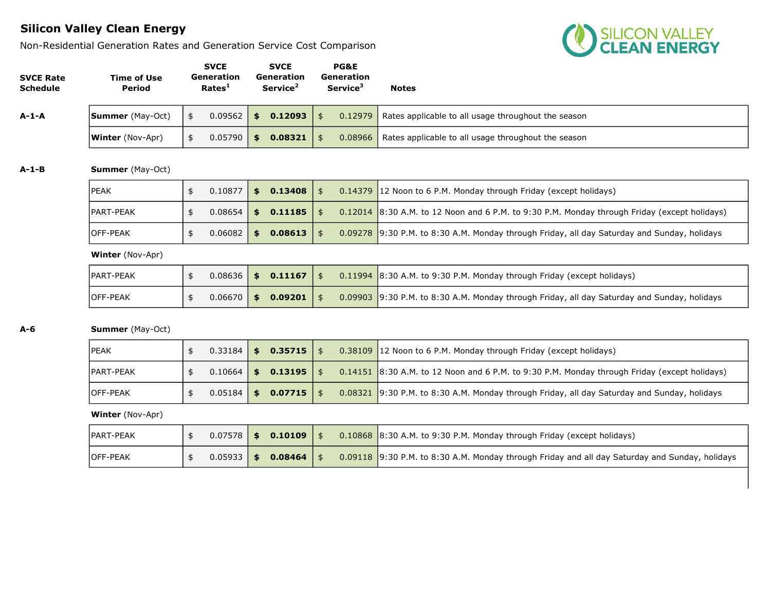Non-Residential Generation Rates and Generation Service Cost Comparison



| <b>SVCE Rate</b><br><b>Schedule</b> | <b>Time of Use</b><br><b>Period</b> | <b>SVCE</b><br>Generation<br>Rates <sup>1</sup> | <b>SVCE</b><br>Generation<br>Service <sup>2</sup> |                | PG&E<br>Generation<br>Service <sup>3</sup> | <b>Notes</b>                                                                                   |
|-------------------------------------|-------------------------------------|-------------------------------------------------|---------------------------------------------------|----------------|--------------------------------------------|------------------------------------------------------------------------------------------------|
| $A-1-A$                             | <b>Summer</b> (May-Oct)             | \$<br>0.09562                                   | \$0.12093                                         | $\frac{4}{5}$  | 0.12979                                    | Rates applicable to all usage throughout the season                                            |
|                                     | <b>Winter</b> (Nov-Apr)             | \$<br>0.05790                                   | \$0.08321                                         | $\frac{4}{3}$  | 0.08966                                    | Rates applicable to all usage throughout the season                                            |
| $A-1-B$                             | <b>Summer</b> (May-Oct)             |                                                 |                                                   |                |                                            |                                                                                                |
|                                     | <b>PEAK</b>                         | \$<br>0.10877                                   | \$0.13408                                         | $\frac{4}{5}$  | 0.14379                                    | 12 Noon to 6 P.M. Monday through Friday (except holidays)                                      |
|                                     | PART-PEAK                           | \$<br>0.08654                                   | \$0.11185                                         | $\frac{4}{5}$  | 0.12014                                    | 8:30 A.M. to 12 Noon and 6 P.M. to 9:30 P.M. Monday through Friday (except holidays)           |
|                                     | OFF-PEAK                            | \$<br>0.06082                                   | \$<br>0.08613                                     | $\frac{4}{5}$  |                                            | 0.09278 9:30 P.M. to 8:30 A.M. Monday through Friday, all day Saturday and Sunday, holidays    |
|                                     | <b>Winter</b> (Nov-Apr)             |                                                 |                                                   |                |                                            |                                                                                                |
|                                     | PART-PEAK                           | \$<br>0.08636                                   | \$0.11167                                         | $\frac{1}{2}$  | 0.11994                                    | 8:30 A.M. to 9:30 P.M. Monday through Friday (except holidays)                                 |
|                                     | OFF-PEAK                            | \$<br>0.06670                                   | \$0.09201                                         | $\mathsf{\$}$  | 0.09903                                    | 9:30 P.M. to 8:30 A.M. Monday through Friday, all day Saturday and Sunday, holidays            |
| A-6                                 | <b>Summer</b> (May-Oct)             |                                                 |                                                   |                |                                            |                                                                                                |
|                                     | PEAK                                | \$<br>0.33184                                   | \$0.35715                                         | $\frac{4}{5}$  | 0.38109                                    | 12 Noon to 6 P.M. Monday through Friday (except holidays)                                      |
|                                     | PART-PEAK                           | \$<br>0.10664                                   | \$0.13195                                         | $\frac{1}{2}$  | 0.14151                                    | 8:30 A.M. to 12 Noon and 6 P.M. to 9:30 P.M. Monday through Friday (except holidays)           |
|                                     | OFF-PEAK                            | \$<br>0.05184                                   | \$<br>0.07715                                     | $\frac{4}{5}$  | 0.08321                                    | 9:30 P.M. to 8:30 A.M. Monday through Friday, all day Saturday and Sunday, holidays            |
|                                     | <b>Winter</b> (Nov-Apr)             |                                                 |                                                   |                |                                            |                                                                                                |
|                                     | PART-PEAK                           | \$<br>0.07578                                   | \$0.10109                                         | $\frac{4}{5}$  |                                            | 0.10868 8:30 A.M. to 9:30 P.M. Monday through Friday (except holidays)                         |
|                                     | OFF-PEAK                            | \$<br>0.05933                                   | \$0.08464                                         | $\mathfrak{s}$ |                                            | 0.09118 9:30 P.M. to 8:30 A.M. Monday through Friday and all day Saturday and Sunday, holidays |
|                                     |                                     |                                                 |                                                   |                |                                            |                                                                                                |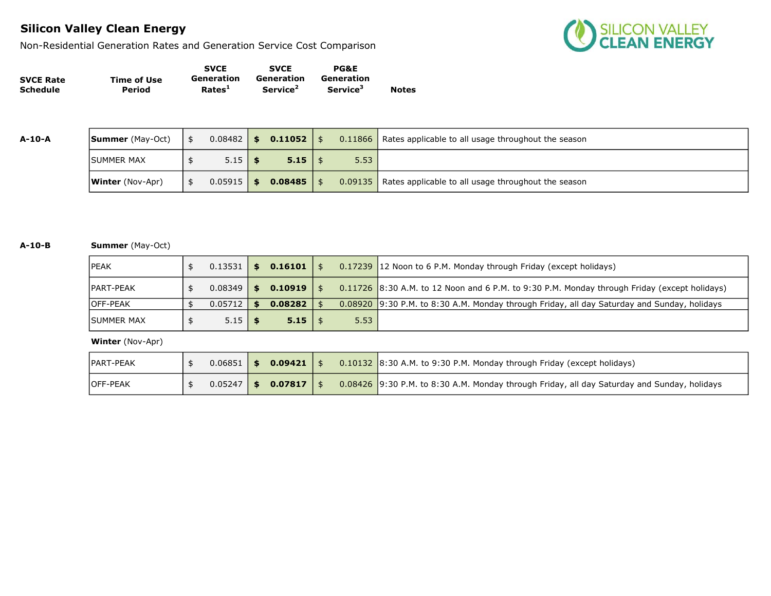Non-Residential Generation Rates and Generation Service Cost Comparison



|                  |             | <b>SVCE</b>        | <b>SVCE</b>          | <b>PG&amp;E</b>             |              |
|------------------|-------------|--------------------|----------------------|-----------------------------|--------------|
| <b>SVCE Rate</b> | Time of Use | Generation         | Generation           | Generation                  |              |
| <b>Schedule</b>  | Period      | Rates <sup>1</sup> | Service <sup>2</sup> | <b>Service</b> <sup>5</sup> | <b>Notes</b> |

| A-10-A | <b>Summer</b> (May-Oct)     | $0.08482$ \$   | $0.11052$   \$ |      | 0.11866   Rates applicable to all usage throughout the season |
|--------|-----------------------------|----------------|----------------|------|---------------------------------------------------------------|
|        | <b>ISUMMER MAX</b>          | $5.15$ \$      | $5.15$   \$    | 5.53 |                                                               |
|        | $ $ <b>Winter</b> (Nov-Apr) | $0.05915$   \$ | $0.08485$ \ \$ |      | 0.09135   Rates applicable to all usage throughout the season |

#### A-10-B Summer (May-Oct)

| lpeak              | 0.13531   | \$<br>0.16101 |      | 0.17239 12 Noon to 6 P.M. Monday through Friday (except holidays)                            |
|--------------------|-----------|---------------|------|----------------------------------------------------------------------------------------------|
| <b>IPART-PEAK</b>  | 0.08349   | \$<br>0.10919 |      | 0.11726 8:30 A.M. to 12 Noon and 6 P.M. to 9:30 P.M. Monday through Friday (except holidays) |
| <b>IOFF-PEAK</b>   | 0.05712 1 | \$<br>0.08282 |      | 0.08920 9:30 P.M. to 8:30 A.M. Monday through Friday, all day Saturday and Sunday, holidays  |
| <b>ISUMMER MAX</b> | $5.15$ \$ | $5.15$   \$   | 5.53 |                                                                                              |

| <b>PART-PEAK</b> |  | $0.06851$ \$ 0.09421 \$ |  | $0.10132$ 8:30 A.M. to 9:30 P.M. Monday through Friday (except holidays)                    |
|------------------|--|-------------------------|--|---------------------------------------------------------------------------------------------|
| <b>IOFF-PEAK</b> |  | $0.05247$ \$ 0.07817 \$ |  | 0.08426 9:30 P.M. to 8:30 A.M. Monday through Friday, all day Saturday and Sunday, holidays |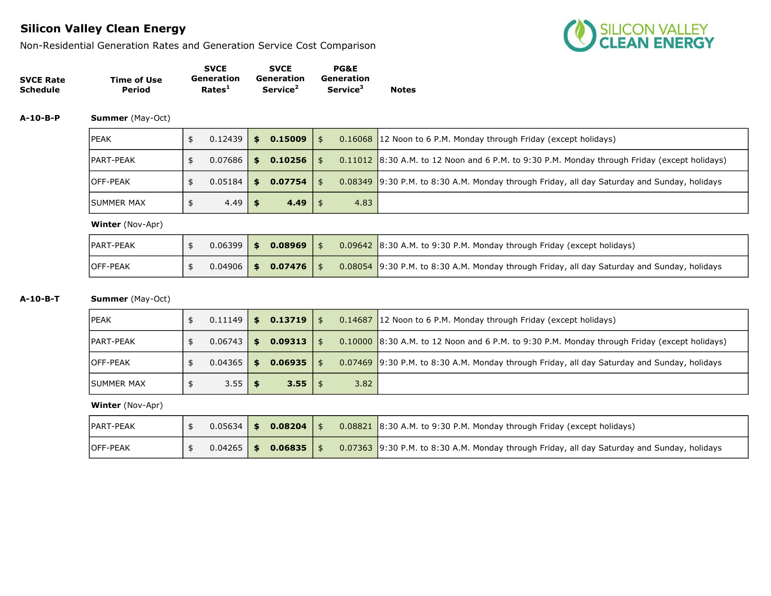Non-Residential Generation Rates and Generation Service Cost Comparison



|                  |             | <b>SVCE</b>        | <b>SVCE</b>          | <b>PG&amp;E</b>             |              |
|------------------|-------------|--------------------|----------------------|-----------------------------|--------------|
| <b>SVCE Rate</b> | Time of Use | Generation         | Generation           | Generation                  |              |
| <b>Schedule</b>  | Period      | Rates <sup>1</sup> | Service <sup>2</sup> | <b>Service</b> <sup>3</sup> | <b>Notes</b> |

A-10-B-P Summer (May-Oct)

| <b>IPEAK</b>       | $0.12439$ \$ |     | 0.15009 | $\frac{1}{2}$ |      | 0.16068 12 Noon to 6 P.M. Monday through Friday (except holidays)                            |
|--------------------|--------------|-----|---------|---------------|------|----------------------------------------------------------------------------------------------|
| <b>IPART-PEAK</b>  | 0.07686      | SS. | 0.10256 | $\frac{1}{2}$ |      | 0.11012 8:30 A.M. to 12 Noon and 6 P.M. to 9:30 P.M. Monday through Friday (except holidays) |
| <b>OFF-PEAK</b>    | $0.05184$ \$ |     | 0.07754 | \$            |      | 0.08349 9:30 P.M. to 8:30 A.M. Monday through Friday, all day Saturday and Sunday, holidays  |
| <b>ISUMMER MAX</b> | $4.49$ \$    |     | 4.49    |               | 4.83 |                                                                                              |

Winter (Nov-Apr)

| <b>PART-PEAK</b> | $0.06399$   \$ | 0.08969                |  | 0.09642 8:30 A.M. to 9:30 P.M. Monday through Friday (except holidays)                      |
|------------------|----------------|------------------------|--|---------------------------------------------------------------------------------------------|
| <b>IOFF-PEAK</b> |                | $0.04906$ \$ 0.07476 \ |  | 0.08054 9:30 P.M. to 8:30 A.M. Monday through Friday, all day Saturday and Sunday, holidays |

#### A-10-B-T Summer (May-Oct)

| <b>IPEAK</b>       | 0.11149      | $$0.13719$ \\$       |      | 0.14687 12 Noon to 6 P.M. Monday through Friday (except holidays)                            |
|--------------------|--------------|----------------------|------|----------------------------------------------------------------------------------------------|
| <b>IPART-PEAK</b>  | $0.06743$ \$ | $0.09313$   \$       |      | 0.10000 8:30 A.M. to 12 Noon and 6 P.M. to 9:30 P.M. Monday through Friday (except holidays) |
| <b>IOFF-PEAK</b>   | 0.04365      | \$<br>$0.06935$   \$ |      | 0.07469 9:30 P.M. to 8:30 A.M. Monday through Friday, all day Saturday and Sunday, holidays  |
| <b>ISUMMER MAX</b> | $3.55$ \$    | $3.55$   \$          | 3.82 |                                                                                              |

| <b>PART-PEAK</b> |              | $0.05634$ \$ 0.08204 |  | $0.08821$ 8:30 A.M. to 9:30 P.M. Monday through Friday (except holidays)                    |
|------------------|--------------|----------------------|--|---------------------------------------------------------------------------------------------|
| <b>IOFF-PEAK</b> | $0.04265$ \$ | 0.06835              |  | 0.07363 9:30 P.M. to 8:30 A.M. Monday through Friday, all day Saturday and Sunday, holidays |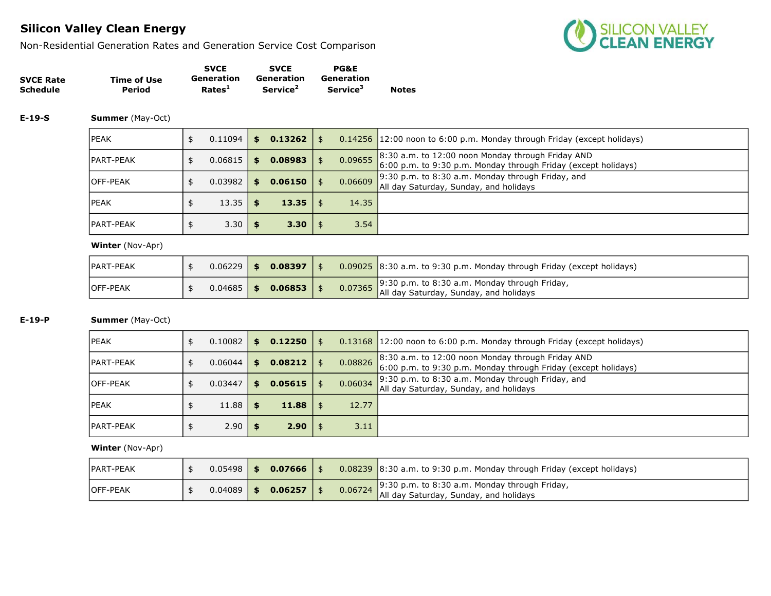Non-Residential Generation Rates and Generation Service Cost Comparison



| <b>SVCE Rate</b><br>Schedule | Time of Use<br>Period   | <b>SVCE</b><br>Generation<br>Rates <sup>1</sup> | <b>SVCE</b><br><b>Generation</b><br>Service <sup>2</sup> | <b>PG&amp;E</b><br><b>Generation</b><br>Service <sup>3</sup> | <b>Notes</b>                                                                                                          |
|------------------------------|-------------------------|-------------------------------------------------|----------------------------------------------------------|--------------------------------------------------------------|-----------------------------------------------------------------------------------------------------------------------|
| $E-19-S$                     | <b>Summer</b> (May-Oct) |                                                 |                                                          |                                                              |                                                                                                                       |
|                              | <b>IPEAK</b>            | \$<br>0.11094                                   | $$0.13262 \mid $$                                        |                                                              | 0.14256 12:00 noon to 6:00 p.m. Monday through Friday (except holidays)                                               |
|                              | <b>IPART-PEAK</b>       | \$<br>0.06815                                   | \$<br>$0.08983$   \$                                     | 0.09655                                                      | 8:30 a.m. to 12:00 noon Monday through Friday AND<br>$6:00$ p.m. to 9:30 p.m. Monday through Friday (except holidays) |
|                              | <b>OFF-PEAK</b>         | \$<br>0.03982                                   | \$<br>$0.06150$   \$                                     | 0.06609                                                      | $\vert$ 9:30 p.m. to 8:30 a.m. Monday through Friday, and<br>All day Saturday, Sunday, and holidays                   |
|                              | <b>IPEAK</b>            | \$<br>13.35                                     | \$<br>$13.35$   \$                                       | 14.35                                                        |                                                                                                                       |
|                              | <b>IPART-PEAK</b>       | \$<br>3.30                                      | \$<br>3.30   \$                                          | 3.54                                                         |                                                                                                                       |

### Winter (Nov-Apr)

| <b>IPART-PEAK</b> | 0.06229 | $\sim$ 5 | 0.08397                 |  | 0.09025 8:30 a.m. to 9:30 p.m. Monday through Friday (except holidays)                                                                           |
|-------------------|---------|----------|-------------------------|--|--------------------------------------------------------------------------------------------------------------------------------------------------|
| <b>IOFF-PEAK</b>  |         |          | $0.04685$ \$ 0.06853 \$ |  | $\begin{bmatrix} 9.30 \text{ p.m. to } 8.30 \text{ a.m.} \text{ Monday through Friday,} \end{bmatrix}$<br>All day Saturday, Sunday, and holidays |

### E-19-P Summer (May-Oct)

| <b>IPEAK</b>      | 0.10082 | \$  | 0.12250 |               | 0.13168   12:00 noon to 6:00 p.m. Monday through Friday (except holidays)                                           |
|-------------------|---------|-----|---------|---------------|---------------------------------------------------------------------------------------------------------------------|
| <b>IPART-PEAK</b> | 0.06044 | \$  | 0.08212 | \$<br>0.08826 | 8:30 a.m. to 12:00 noon Monday through Friday AND<br>6:00 p.m. to 9:30 p.m. Monday through Friday (except holidays) |
| <b>IOFF-PEAK</b>  | 0.03447 | \$. | 0.05615 | 0.06034       | $9:30$ p.m. to 8:30 a.m. Monday through Friday, and<br>All day Saturday, Sunday, and holidays                       |
| <b>IPEAK</b>      | 11.88   |     | 11.88   | 12.77         |                                                                                                                     |
| <b>PART-PEAK</b>  | 2.90    |     | 2.90    | 3.11          |                                                                                                                     |

| <b>IPART-PEAK</b> | $0.05498$   \$ | $0.07666$   \$ |         | $\vert 0.08239 \vert 8:30$ a.m. to 9:30 p.m. Monday through Friday (except holidays)    |
|-------------------|----------------|----------------|---------|-----------------------------------------------------------------------------------------|
| <b>IOFF-PEAK</b>  | 0.04089        | 0.06257        | 0.06724 | 9:30 p.m. to 8:30 a.m. Monday through Friday,<br>All day Saturday, Sunday, and holidays |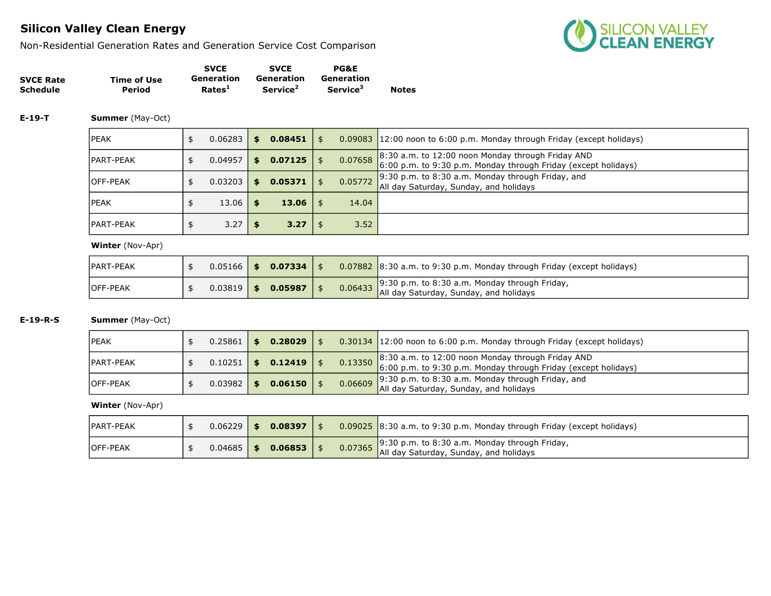Non-Residential Generation Rates and Generation Service Cost Comparison



|                  |             | <b>SVCE</b>        | <b>SVCE</b>          | <b>PG&amp;E</b>      |              |
|------------------|-------------|--------------------|----------------------|----------------------|--------------|
| <b>SVCE Rate</b> | Time of Use | Generation         | Generation           | Generation           |              |
| <b>Schedule</b>  | Period      | Rates <sup>1</sup> | Service <sup>2</sup> | Service <sup>3</sup> | <b>Notes</b> |

#### E-19-T Summer (May-Oct)

| <b>IPEAK</b>      | 0.06283 | S.  | $0.08451$ \$        |      |         | 0.09083 12:00 noon to 6:00 p.m. Monday through Friday (except holidays)                                                 |
|-------------------|---------|-----|---------------------|------|---------|-------------------------------------------------------------------------------------------------------------------------|
| <b>IPART-PEAK</b> | 0.04957 | S.  | $0.07125$   \$      |      | 0.07658 | $8:30$ a.m. to 12:00 noon Monday through Friday AND<br>$6:00$ p.m. to 9:30 p.m. Monday through Friday (except holidays) |
| <b>IOFF-PEAK</b>  | 0.03203 | \$. | 0.05371             | l \$ | 0.05772 | 9:30 p.m. to 8:30 a.m. Monday through Friday, and<br>All day Saturday, Sunday, and holidays                             |
| <b>IPEAK</b>      | 13.06   |     | 13.06 $\frac{1}{2}$ |      | 14.04   |                                                                                                                         |
| <b>IPART-PEAK</b> | 3.27    |     | $3.27 \mid$ \$      |      | 3.52    |                                                                                                                         |

#### Winter (Nov-Apr)

| <b>IPART-PEAK</b> |  | $0.05166$ \$ 0.07334 |  | $0.07882$ 8:30 a.m. to 9:30 p.m. Monday through Friday (except holidays)                        |
|-------------------|--|----------------------|--|-------------------------------------------------------------------------------------------------|
| <b>IOFF-PEAK</b>  |  | $0.03819$ \$ 0.05987 |  | 0.06433 9:30 p.m. to 8:30 a.m. Monday through Friday,<br>All day Saturday, Sunday, and holidays |

### E-19-R-S Summer (May-Oct)

| <b>IPEAK</b>     | 0.25861 |     | $0.28029$   \$ |  | $0.30134$ 12:00 noon to 6:00 p.m. Monday through Friday (except holidays)                                                                                                                         |
|------------------|---------|-----|----------------|--|---------------------------------------------------------------------------------------------------------------------------------------------------------------------------------------------------|
| PART-PEAK        | 0.10251 | \$. | 0.12419        |  | 0.13350 8:30 a.m. to 12:00 noon Monday through Friday AND $\begin{bmatrix} 6:00 \ p.m. \text{to } 9:30 \ p.m. \text{to } 9:30 \ p.m. \text{Nonday through Friday (except holiday)} \end{bmatrix}$ |
| <b>IOFF-PEAK</b> | 0.03982 | \$  | $0.06150$   \$ |  | 0.06609 9:30 p.m. to 8:30 a.m. Monday through Friday, and $\vert$ All day Saturday, Sunday, and holidays                                                                                          |

| <b>IPART-PEAK</b> | 0.06229 | 0.08397 |  | $0.09025$ 8:30 a.m. to 9:30 p.m. Monday through Friday (except holidays)                                                                                        |
|-------------------|---------|---------|--|-----------------------------------------------------------------------------------------------------------------------------------------------------------------|
| <b>IOFF-PEAK</b>  | 0.04685 | 0.06853 |  | 0.07365 $\begin{vmatrix} 9.30 \text{ p.m. to } 8.30 \text{ a.m.} \text{ Monday through Friday,} \\ \text{All day Saturday, Sunday, and holidays} \end{vmatrix}$ |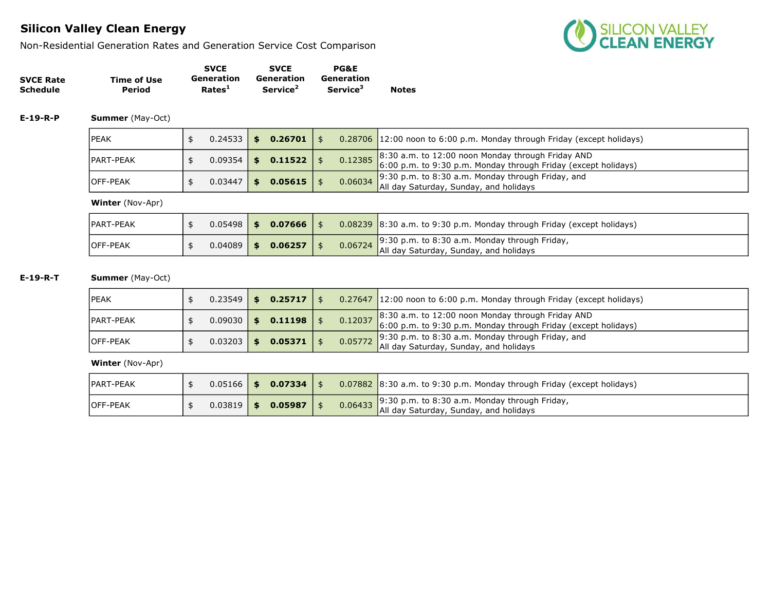Non-Residential Generation Rates and Generation Service Cost Comparison



|                  |             | <b>SVCE</b>        | <b>SVCE</b>          | <b>PG&amp;E</b>             |              |
|------------------|-------------|--------------------|----------------------|-----------------------------|--------------|
| <b>SVCE Rate</b> | Time of Use | Generation         | Generation           | Generation                  |              |
| <b>Schedule</b>  | Period      | Rates <sup>1</sup> | Service <sup>2</sup> | <b>Service</b> <sup>3</sup> | <b>Notes</b> |

E-19-R-P Summer (May-Oct)

| <b>IPEAK</b>     | 0.24533 | SS. | 0.26701 |  | $0.28706$ 12:00 noon to 6:00 p.m. Monday through Friday (except holidays)                                                                                                      |
|------------------|---------|-----|---------|--|--------------------------------------------------------------------------------------------------------------------------------------------------------------------------------|
| IPART-PEAK       | 0.09354 | \$  | 0.11522 |  | $\begin{bmatrix} 0.12385 & 8.30 & a.m. & to & 12.00 & noon Monday through Friday AND \\ 6.00 & p.m. & to & 9.30 & p.m. & Monday through Friday (except holiday) \end{bmatrix}$ |
| <b>IOFF-PEAK</b> | 0.03447 | \$  | 0.05615 |  | 0.06034 9:30 p.m. to 8:30 a.m. Monday through Friday, and 0.06034 $\overline{\phantom{a}}$ All day Saturday, Sunday, and holidays                                              |

Winter (Nov-Apr)

| <b>IPART-PEAK</b> | $0.05498$   \$ | 0.07666 |  | $0.08239$ 8:30 a.m. to 9:30 p.m. Monday through Friday (except holidays)                        |
|-------------------|----------------|---------|--|-------------------------------------------------------------------------------------------------|
| <b>IOFF-PEAK</b>  | $0.04089$ \$   | 0.06257 |  | 9:30 p.m. to 8:30 a.m. Monday through Friday,<br>0.06724 All day Saturday, Sunday, and holidays |

E-19-R-T Summer (May-Oct)

| IPEAK            | $0.23549$   \$ |      | $0.25717$   \$ |  | 0.27647 12:00 noon to 6:00 p.m. Monday through Friday (except holidays)                                                     |
|------------------|----------------|------|----------------|--|-----------------------------------------------------------------------------------------------------------------------------|
| IPART-PEAK       | $0.09030$      | - \$ | 0.11198        |  | 0.12037 8:30 a.m. to 12:00 noon Monday through Friday AND<br>6:00 p.m. to 9:30 p.m. Monday through Friday (except holidays) |
| <b>IOFF-PEAK</b> | $0.03203$      | - \$ | 0.05371        |  | $0.05772$ 9:30 p.m. to 8:30 a.m. Monday through Friday, and 0.05772 All day Saturday, Sunday, and holidays                  |

| <b>IPART-PEAK</b> |         | $0.05166$ \$ 0.07334 \$ |         | $0.07882$ 8:30 a.m. to 9:30 p.m. Monday through Friday (except holidays)                |
|-------------------|---------|-------------------------|---------|-----------------------------------------------------------------------------------------|
| <b>IOFF-PEAK</b>  | 0.03819 | \$<br>0.05987           | 0.06433 | 9:30 p.m. to 8:30 a.m. Monday through Friday,<br>All day Saturday, Sunday, and holidays |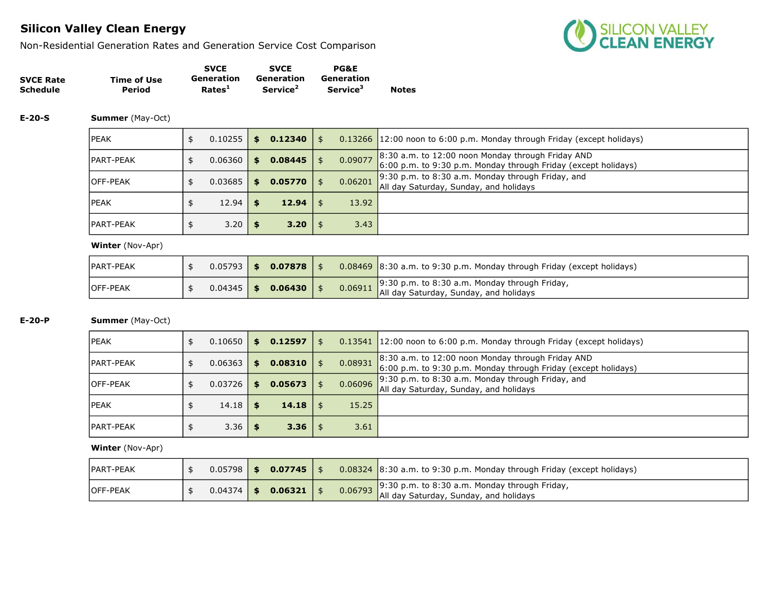Non-Residential Generation Rates and Generation Service Cost Comparison



|                  |             | <b>SVCE</b>        | <b>SVCE</b>          | <b>PG&amp;E</b>      |              |
|------------------|-------------|--------------------|----------------------|----------------------|--------------|
| <b>SVCE Rate</b> | Time of Use | Generation         | Generation           | Generation           | <b>Notes</b> |
| Schedule         | Period      | Rates <sup>1</sup> | Service <sup>2</sup> | Service <sup>3</sup> |              |

#### E-20-S Summer (May-Oct)

| <b>IPEAK</b>      | 0.10255 | <b>S</b> | 0.12340 | \$      | 0.13266 12:00 noon to 6:00 p.m. Monday through Friday (except holidays)                                             |
|-------------------|---------|----------|---------|---------|---------------------------------------------------------------------------------------------------------------------|
| <b>IPART-PEAK</b> | 0.06360 | S.       | 0.08445 | 0.09077 | 8:30 a.m. to 12:00 noon Monday through Friday AND<br>6:00 p.m. to 9:30 p.m. Monday through Friday (except holidays) |
| <b>OFF-PEAK</b>   | 0.03685 | \$.      | 0.05770 | 0.06201 | 9:30 p.m. to $8:30$ a.m. Monday through Friday, and<br>All day Saturday, Sunday, and holidays                       |
| <b>IPEAK</b>      | 12.94   | \$       | 12.94   | 13.92   |                                                                                                                     |
| <b>IPART-PEAK</b> | 3.20    |          | 3.20    | 3.43    |                                                                                                                     |

#### Winter (Nov-Apr)

| PART-PEAK       |  | $0.05793$ \$ 0.07878    |         | $0.08469$ 8:30 a.m. to 9:30 p.m. Monday through Friday (except holidays)                          |
|-----------------|--|-------------------------|---------|---------------------------------------------------------------------------------------------------|
| <b>OFF-PEAK</b> |  | $0.04345$ \$ 0.06430 \. | 0.06911 | $\bigcup$ 9:30 p.m. to 8:30 a.m. Monday through Friday,<br>All day Saturday, Sunday, and holidays |

### E-20-P Summer (May-Oct)

| <b>IPEAK</b>      | 0.10650 | \$  | 0.12597 |         | $0.13541$ 12:00 noon to 6:00 p.m. Monday through Friday (except holidays)                                           |
|-------------------|---------|-----|---------|---------|---------------------------------------------------------------------------------------------------------------------|
| <b>IPART-PEAK</b> | 0.06363 | \$. | 0.08310 | 0.08931 | 8:30 a.m. to 12:00 noon Monday through Friday AND<br>6:00 p.m. to 9:30 p.m. Monday through Friday (except holidays) |
| <b>IOFF-PEAK</b>  | 0.03726 | \$. | 0.05673 | 0.06096 | $\vert$ 9:30 p.m. to 8:30 a.m. Monday through Friday, and<br>All day Saturday, Sunday, and holidays                 |
| <b>IPEAK</b>      | 14.18   | \$  | 14.18   | 15.25   |                                                                                                                     |
| <b>IPART-PEAK</b> | 3.36    |     | 3.36    | 3.61    |                                                                                                                     |

| <b>IPART-PEAK</b> |              | $0.05798$ $\frac{1}{5}$ 0.07745 $\frac{1}{5}$ |  | $0.08324$ 8:30 a.m. to 9:30 p.m. Monday through Friday (except holidays)                        |
|-------------------|--------------|-----------------------------------------------|--|-------------------------------------------------------------------------------------------------|
| <b>IOFF-PEAK</b>  | $0.04374$ \$ | 0.06321                                       |  | 9:30 p.m. to 8:30 a.m. Monday through Friday,<br>0.06793 All day Saturday, Sunday, and holidays |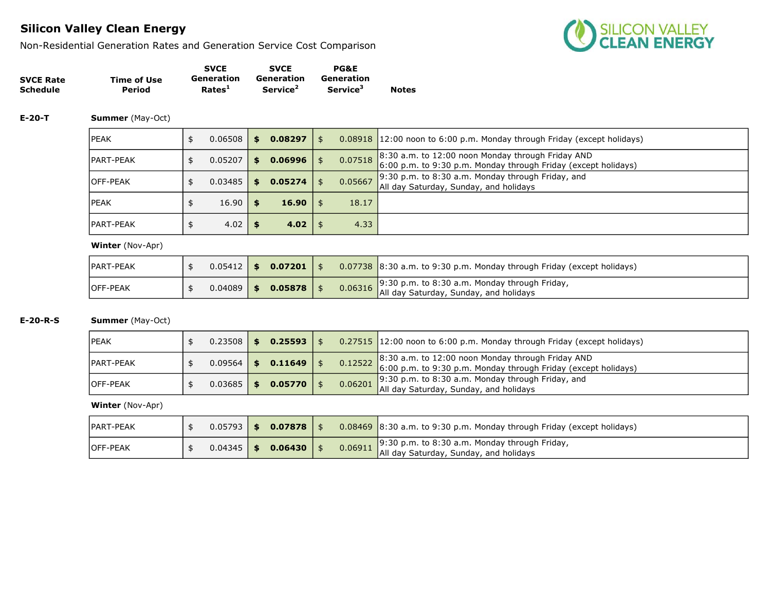Non-Residential Generation Rates and Generation Service Cost Comparison



|                  |             | <b>SVCE</b>        | <b>SVCE</b>          | <b>PG&amp;E</b>             |              |
|------------------|-------------|--------------------|----------------------|-----------------------------|--------------|
| <b>SVCE Rate</b> | Time of Use | Generation         | Generation           | Generation                  |              |
| <b>Schedule</b>  | Period      | Rates <sup>1</sup> | Service <sup>2</sup> | <b>Service</b> <sup>3</sup> | <b>Notes</b> |

#### E-20-T Summer (May-Oct)

| <b>IPEAK</b>      | 0.06508 | <b>S</b> | 0.08297 | \$            | 0.08918 12:00 noon to 6:00 p.m. Monday through Friday (except holidays)                                               |
|-------------------|---------|----------|---------|---------------|-----------------------------------------------------------------------------------------------------------------------|
| <b>IPART-PEAK</b> | 0.05207 | S.       | 0.06996 | \$<br>0.07518 | $8:30$ a.m. to 12:00 noon Monday through Friday AND<br>6:00 p.m. to 9:30 p.m. Monday through Friday (except holidays) |
| <b>OFF-PEAK</b>   | 0.03485 | \$.      | 0.05274 | 0.05667       | 9:30 p.m. to 8:30 a.m. Monday through Friday, and<br>All day Saturday, Sunday, and holidays                           |
| <b>IPEAK</b>      | 16.90   | \$       | 16.90   | 18.17         |                                                                                                                       |
| <b>IPART-PEAK</b> | 4.02    |          | 4.02    | 4.33          |                                                                                                                       |

#### Winter (Nov-Apr)

| <b>IPART-PEAK</b> |  | $0.05412$ \$ 0.07201 \$ |  | $0.07738$ 8:30 a.m. to 9:30 p.m. Monday through Friday (except holidays)                                                                                           |
|-------------------|--|-------------------------|--|--------------------------------------------------------------------------------------------------------------------------------------------------------------------|
| <b>IOFF-PEAK</b>  |  | $0.04089$ \$ 0.05878 \$ |  | $\begin{bmatrix} 9.30 \text{ p.m. to } 8.30 \text{ a.m.} \text{ Monday through Friday,} \\ \text{0.06316} \end{bmatrix}$<br>All day Saturday, Sunday, and holidays |

### E-20-R-S Summer (May-Oct)

| <b>IPEAK</b>      | 0.23508   |    | 0.25593        |         | 0.27515 12:00 noon to 6:00 p.m. Monday through Friday (except holidays)                                                                                                                                                                    |
|-------------------|-----------|----|----------------|---------|--------------------------------------------------------------------------------------------------------------------------------------------------------------------------------------------------------------------------------------------|
| <b>IPART-PEAK</b> | 0.09564   | S. | 0.11649        |         | $\sqrt{8:30}$ a.m. to 12:00 noon Monday through Friday AND<br>$\begin{array}{ l l } \hline 0.12522 & 6.50 & \text{a.m. to 2.500 in.} \\ \hline 6.00 & \text{p.m. to 9.30 p.m.} \hline \end{array}$ Monday through Friday (except holidays) |
| <b>IOFF-PEAK</b>  | $0.03685$ | \$ | $0.05770$   \$ | 0.06201 | $\vert$ 9:30 p.m. to 8:30 a.m. Monday through Friday, and<br>All day Saturday, Sunday, and holidays                                                                                                                                        |

| <b>PART-PEAK</b> | $0.05793$   \$ |      | $0.07878$   \$ |         | $\vert 0.08469 \vert 8:30$ a.m. to 9:30 p.m. Monday through Friday (except holidays)           |
|------------------|----------------|------|----------------|---------|------------------------------------------------------------------------------------------------|
| <b>IOFF-PEAK</b> | 0.04345        | - 15 | 0.06430        | 0.06911 | $\Box$ 9:30 p.m. to 8:30 a.m. Monday through Friday,<br>All day Saturday, Sunday, and holidays |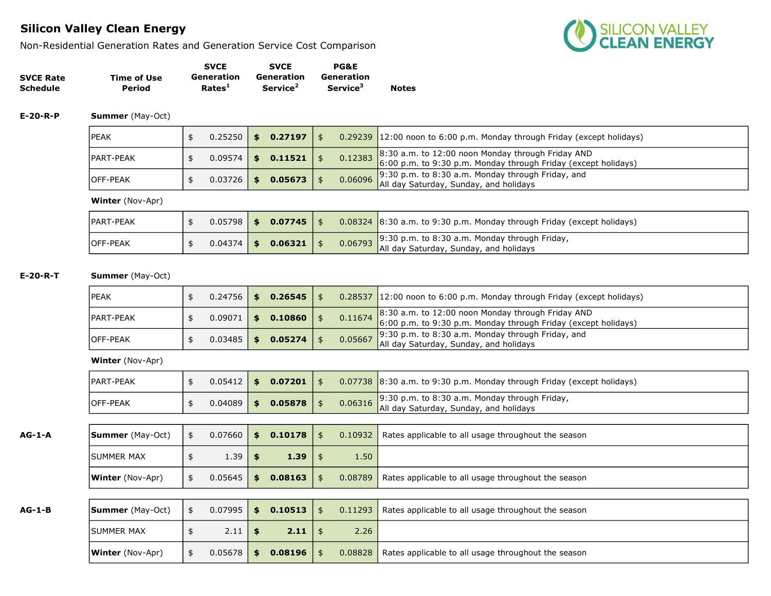Non-Residential Generation Rates and Generation Service Cost Comparison



|                  |             | <b>SVCE</b>        | <b>SVCE</b>          | <b>PG&amp;E</b>             |              |
|------------------|-------------|--------------------|----------------------|-----------------------------|--------------|
| <b>SVCE Rate</b> | Time of Use | Generation         | Generation           | Generation                  |              |
| <b>Schedule</b>  | Period      | Rates <sup>1</sup> | Service <sup>2</sup> | <b>Service</b> <sup>3</sup> | <b>Notes</b> |

E-20-R-P Summer (May-Oct)

| <b>IPEAK</b>      | 0.25250 | \$<br>0.27197 |         | $0.29239$ 12:00 noon to 6:00 p.m. Monday through Friday (except holidays)                                                   |
|-------------------|---------|---------------|---------|-----------------------------------------------------------------------------------------------------------------------------|
| <b>IPART-PEAK</b> | 0.09574 | \$<br>0.11521 |         | 0.12383 8:30 a.m. to 12:00 noon Monday through Friday AND<br>6:00 p.m. to 9:30 p.m. Monday through Friday (except holidays) |
| <b>IOFF-PEAK</b>  | 0.03726 | \$<br>0.05673 | 0.06096 | $\Box$ 9:30 p.m. to 8:30 a.m. Monday through Friday, and<br>All day Saturday, Sunday, and holidays                          |

Winter (Nov-Apr)

| <b>IPART-PEAK</b> |  | $0.05798$ \$ 0.07745 \$ |  | 0.08324 8:30 a.m. to 9:30 p.m. Monday through Friday (except holidays)                                                     |
|-------------------|--|-------------------------|--|----------------------------------------------------------------------------------------------------------------------------|
| <b>IOFF-PEAK</b>  |  | $0.04374$ \$ 0.06321 \$ |  | 0.06793 9:30 p.m. to 8:30 a.m. Monday through Friday, $\frac{9.30 \text{ p.m.}}{4}$ all day Saturday, Sunday, and holidays |

E-20-R-T Summer (May-Oct)

| IPEAK             |                | $0.24756$   \$ 0.26545   \$ |         | $0.28537$ 12:00 noon to 6:00 p.m. Monday through Friday (except holidays)                                                   |
|-------------------|----------------|-----------------------------|---------|-----------------------------------------------------------------------------------------------------------------------------|
| <b>IPART-PEAK</b> |                | $0.09071$ \$ 0.10860 \$     |         | 0.11674 8:30 a.m. to 12:00 noon Monday through Friday AND<br>6:00 p.m. to 9:30 p.m. Monday through Friday (except holidays) |
| <b>IOFF-PEAK</b>  | $0.03485$   \$ | $0.05274$   \$              | 0.05667 | $\vert$ 9:30 p.m. to 8:30 a.m. Monday through Friday, and<br>All day Saturday, Sunday, and holidays                         |

| PART-PEAK        |                | $0.05412$ \$ 0.07201 |  | 0.07738 8:30 a.m. to 9:30 p.m. Monday through Friday (except holidays) |
|------------------|----------------|----------------------|--|------------------------------------------------------------------------|
| <b>IOFF-PEAK</b> | $0.04089$   \$ | 0.05878              |  | All day Saturday, Sunday, and holidays                                 |

| $AG-1-A$ | <b>Summer</b> (May-Oct) | -\$ | 0.07660 | 0.10178<br>\$ |      | \$         | 0.10932 | Rates applicable to all usage throughout the season |
|----------|-------------------------|-----|---------|---------------|------|------------|---------|-----------------------------------------------------|
|          | ISUMMER MAX             | \$  | 1.39    | \$            | 1.39 | - SS       | 1.50    |                                                     |
|          | <b>Winter</b> (Nov-Apr) | \$  | 0.05645 | 0.08163<br>\$ |      | \$         | 0.08789 | Rates applicable to all usage throughout the season |
|          |                         |     |         |               |      |            |         |                                                     |
| $AG-1-B$ | <b>Summer</b> (May-Oct) | \$  | 0.07995 | 0.10513<br>\$ |      | \$         | 0.11293 | Rates applicable to all usage throughout the season |
|          |                         |     |         |               |      |            |         |                                                     |
|          | <b>ISUMMER MAX</b>      |     | 2.11    | \$            | 2.11 | -\$        | 2.26    |                                                     |
|          | <b>Winter</b> (Nov-Apr) |     | 0.05678 | 0.08196<br>\$ |      | $\uparrow$ | 0.08828 | Rates applicable to all usage throughout the season |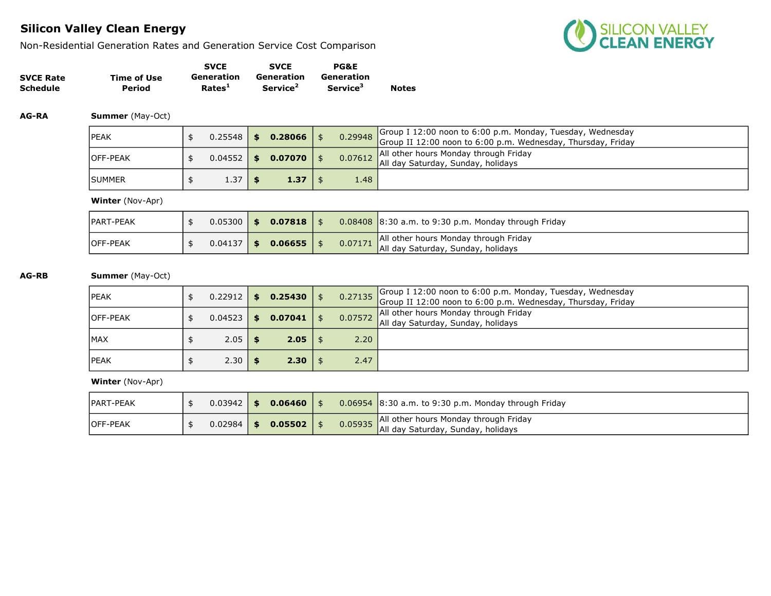Non-Residential Generation Rates and Generation Service Cost Comparison



|                  |             | <b>SVCE</b>        | <b>SVCE</b>          | <b>PG&amp;E</b>             |              |
|------------------|-------------|--------------------|----------------------|-----------------------------|--------------|
| <b>SVCE Rate</b> | Time of Use | Generation         | Generation           | Generation                  |              |
| <b>Schedule</b>  | Period      | Rates <sup>1</sup> | Service <sup>2</sup> | <b>Service</b> <sup>3</sup> | <b>Notes</b> |

AG-RA Summer (May-Oct)

| <b>IPEAK</b>     | 0.25548 | $$0.28066$ \ \$   |      | 0.29948 Group I 12:00 noon to 6:00 p.m. Monday, Tuesday, Wednesday<br>Group II 12:00 noon to 6:00 p.m. Wednesday, Thursday, Friday |
|------------------|---------|-------------------|------|------------------------------------------------------------------------------------------------------------------------------------|
| <b>IOFF-PEAK</b> | 0.04552 | $$0.07070$ \$     |      | 0.07612 All other hours Monday through Friday<br>All day Saturday, Sunday, holidays                                                |
| <b>ISUMMER</b>   | 1.37    | $1.37 \;   \;$ \$ | 1.48 |                                                                                                                                    |

Winter (Nov-Apr)

| IPART-PEAK       | 0.05300 | \$   | $0.07818$   \$ |         | $0.08408$ 8:30 a.m. to 9:30 p.m. Monday through Friday                      |
|------------------|---------|------|----------------|---------|-----------------------------------------------------------------------------|
| <b>IOFF-PEAK</b> | 0.04137 | - SS | $0.06655$   \$ | 0.07171 | All other hours Monday through Friday<br>All day Saturday, Sunday, holidays |

AG-RB Summer (May-Oct)

| <b>IPEAK</b>     | 0.22912 | \$ | $0.25430$ \$   |      | 0.27135 Group I 12:00 noon to 6:00 p.m. Monday, Tuesday, Wednesday<br>Group II 12:00 noon to 6:00 p.m. Wednesday, Thursday, Friday |
|------------------|---------|----|----------------|------|------------------------------------------------------------------------------------------------------------------------------------|
| <b>IOFF-PEAK</b> | 0.04523 | 55 | $0.07041$ \$   |      | All other hours Monday through Friday<br>0.07572 All day Saturday, Sunday, holidays                                                |
| IMAX             | 2.05    |    | $2.05 \mid$ \$ | 2.20 |                                                                                                                                    |
| <b>IPEAK</b>     | 2.30    |    | $2.30 \mid$ \$ | 2.47 |                                                                                                                                    |

| <b>IPART-PEAK</b> | $0.03942$ \$ | 0.06460 |         | $0.06954$ 8:30 a.m. to 9:30 p.m. Monday through Friday                      |
|-------------------|--------------|---------|---------|-----------------------------------------------------------------------------|
| <b>IOFF-PEAK</b>  | $0.02984$ \$ | 0.05502 | 0.05935 | All other hours Monday through Friday<br>All day Saturday, Sunday, holidays |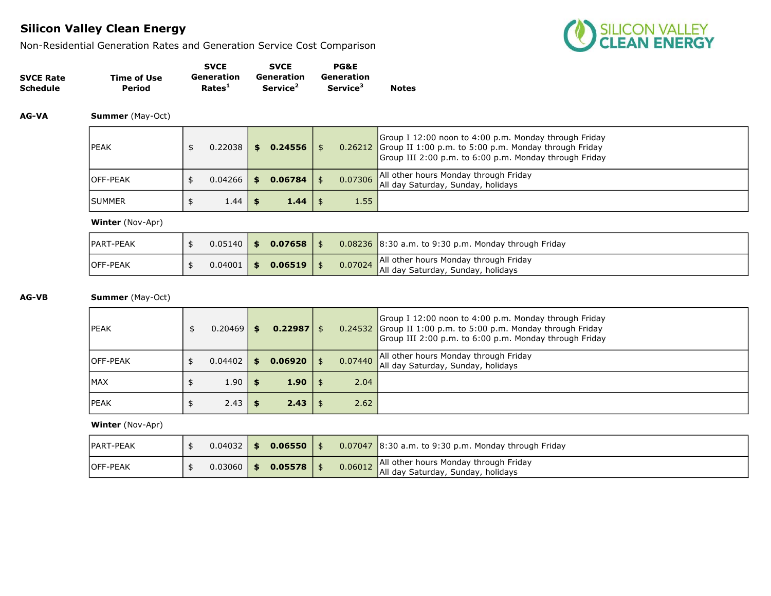Non-Residential Generation Rates and Generation Service Cost Comparison



|                  |             | <b>SVCE</b>        | <b>SVCE</b>          | <b>PG&amp;E</b>             |              |
|------------------|-------------|--------------------|----------------------|-----------------------------|--------------|
| <b>SVCE Rate</b> | Time of Use | Generation         | Generation           | Generation                  |              |
| Schedule         | Period      | Rates <sup>1</sup> | Service <sup>2</sup> | <b>Service</b> <sup>3</sup> | <b>Notes</b> |

AG-VA Summer (May-Oct)

| <b>IPEAK</b>     | 0.22038 | S. | $0.24556$   \$ |         | Group I 12:00 noon to 4:00 p.m. Monday through Friday<br>$0.26212$ Group II 1:00 p.m. to 5:00 p.m. Monday through Friday<br>Group III 2:00 p.m. to 6:00 p.m. Monday through Friday |
|------------------|---------|----|----------------|---------|------------------------------------------------------------------------------------------------------------------------------------------------------------------------------------|
| <b>IOFF-PEAK</b> | 0.04266 |    | $0.06784$   \$ | 0.07306 | All other hours Monday through Friday<br>All day Saturday, Sunday, holidays                                                                                                        |
| <b>ISUMMER</b>   | 1.44    |    | $1.44 \;$   \$ | 1.55    |                                                                                                                                                                                    |

Winter (Nov-Apr)

| PART-PEAK       |  | $0.05140$ \$ 0.07658 \$ |  | $\sqrt{0.08236}$ 8:30 a.m. to 9:30 p.m. Monday through Friday                       |
|-----------------|--|-------------------------|--|-------------------------------------------------------------------------------------|
| <b>OFF-PEAK</b> |  | $0.04001$ \$ 0.06519    |  | 0.07024 All other hours Monday through Friday<br>All day Saturday, Sunday, holidays |

### AG-VB Summer (May-Oct)

| <b>IPEAK</b>     | 0.20469 | \$. | $0.22987$ \$ |      |         | Group I 12:00 noon to 4:00 p.m. Monday through Friday<br>0.24532 Group II 1:00 p.m. to 5:00 p.m. Monday through Friday<br>Group III 2:00 p.m. to 6:00 p.m. Monday through Friday |
|------------------|---------|-----|--------------|------|---------|----------------------------------------------------------------------------------------------------------------------------------------------------------------------------------|
| <b>IOFF-PEAK</b> | 0.04402 | \$  | 0.06920      |      | 0.07440 | All other hours Monday through Friday<br>All day Saturday, Sunday, holidays                                                                                                      |
| <b>IMAX</b>      | 1.90    |     | 1.90         | - \$ | 2.04    |                                                                                                                                                                                  |
| <b>IPEAK</b>     | 2.43    |     | 2.43         |      | 2.62    |                                                                                                                                                                                  |

| <b>IPART-PEAK</b> | 0.04032 | - \$ | 0.06550 |  | $\vert$ 0.07047 $\vert$ 8:30 a.m. to 9:30 p.m. Monday through Friday                |
|-------------------|---------|------|---------|--|-------------------------------------------------------------------------------------|
| <b>IOFF-PEAK</b>  | 0.03060 | \$   | 0.05578 |  | All other hours Monday through Friday<br>0.06012 All day Saturday, Sunday, holidays |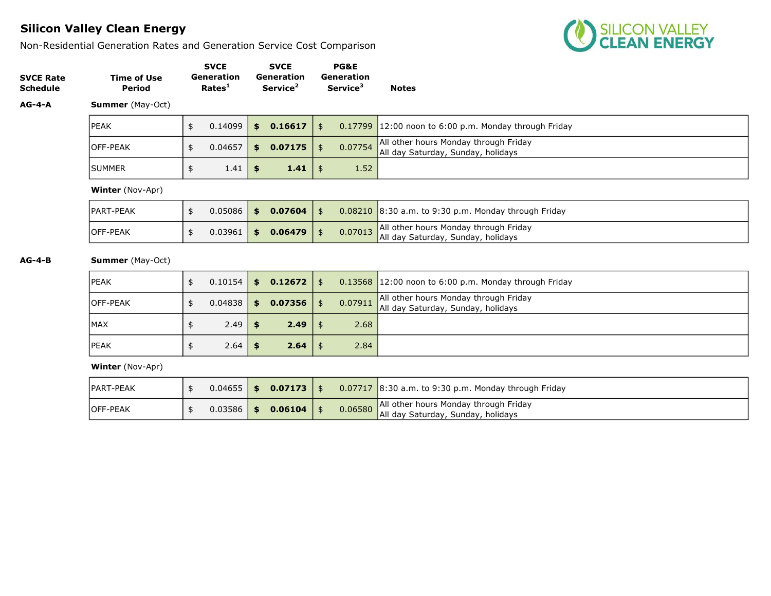Non-Residential Generation Rates and Generation Service Cost Comparison



| <b>SVCE Rate</b><br><b>Schedule</b> | <b>Time of Use</b><br>Period |               | <b>SVCE</b><br><b>Generation</b><br>Rates <sup>1</sup> | <b>SVCE</b><br>Generation<br>Service <sup>2</sup> | <b>PG&amp;E</b><br>Generation<br>Service <sup>3</sup> | <b>Notes</b>                                                                |
|-------------------------------------|------------------------------|---------------|--------------------------------------------------------|---------------------------------------------------|-------------------------------------------------------|-----------------------------------------------------------------------------|
| $AG-4-A$                            | <b>Summer</b> (May-Oct)      |               |                                                        |                                                   |                                                       |                                                                             |
|                                     | <b>PEAK</b>                  | \$            | 0.14099                                                | \$<br>0.16617                                     | \$<br>0.17799                                         | $12:00$ noon to 6:00 p.m. Monday through Friday                             |
|                                     | lOFF-PEAK                    | \$            | 0.04657                                                | \$<br>0.07175                                     | \$<br>0.07754                                         | All other hours Monday through Friday<br>All day Saturday, Sunday, holidays |
|                                     | <b>SUMMER</b>                | \$            | 1.41                                                   | \$<br>1.41                                        | \$<br>1.52                                            |                                                                             |
|                                     | <b>Winter</b> (Nov-Apr)      |               |                                                        |                                                   |                                                       |                                                                             |
|                                     | PART-PEAK                    | $\frac{1}{2}$ | 0.05086                                                | \$<br>0.07604                                     | \$                                                    | $0.08210$ 8:30 a.m. to 9:30 p.m. Monday through Friday                      |
|                                     | lOFF-PEAK                    | \$            | 0.03961                                                | \$<br>0.06479                                     | \$<br>0.07013                                         | All other hours Monday through Friday<br>All day Saturday, Sunday, holidays |
| $AG-4-B$                            | <b>Summer</b> (May-Oct)      |               |                                                        |                                                   |                                                       |                                                                             |
|                                     | <b>PEAK</b>                  | \$            | 0.10154                                                | \$<br>0.12672                                     | \$                                                    | $0.13568$ 12:00 noon to 6:00 p.m. Monday through Friday                     |
|                                     |                              |               |                                                        |                                                   |                                                       | All other hours Monday through Eriday                                       |

| <b>OFF-PEAK</b> | $0.04838$   \$ |      | $0.07356$ \$   | 0.07911 | All other hours Monday through Friday<br>All day Saturday, Sunday, holidays |
|-----------------|----------------|------|----------------|---------|-----------------------------------------------------------------------------|
| MAX             | 2.49           |      | $2.49$   \$    | 2.68    |                                                                             |
| <b>IPEAK</b>    | 2.64           | - 19 | $2.64 \mid$ \$ | 2.84    |                                                                             |

| <b>IPART-PEAK</b> | $0.04655$   \$ |          | $0.07173$   \$ |         | $0.07717$ 8:30 a.m. to 9:30 p.m. Monday through Friday                      |
|-------------------|----------------|----------|----------------|---------|-----------------------------------------------------------------------------|
| <b>IOFF-PEAK</b>  | 0.03586        | <b>S</b> | 0.06104        | 0.06580 | All other hours Monday through Friday<br>All day Saturday, Sunday, holidays |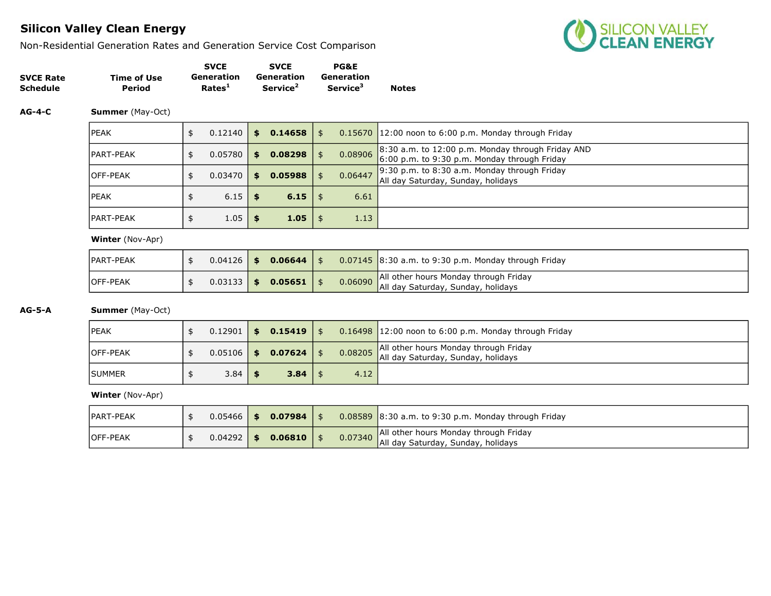Non-Residential Generation Rates and Generation Service Cost Comparison



|                  |             | <b>SVCE</b>        | <b>SVCE</b>          | <b>PG&amp;E</b>      |              |
|------------------|-------------|--------------------|----------------------|----------------------|--------------|
| <b>SVCE Rate</b> | Time of Use | Generation         | Generation           | Generation           |              |
| <b>Schedule</b>  | Period      | Rates <sup>1</sup> | Service <sup>2</sup> | Service <sup>3</sup> | <b>Notes</b> |

### AG-4-C Summer (May-Oct)

| <b>PEAK</b> | 0.12140 | S. | 0.14658 |         | $0.15670$ 12:00 noon to 6:00 p.m. Monday through Friday                                               |
|-------------|---------|----|---------|---------|-------------------------------------------------------------------------------------------------------|
| IPART-PEAK  | 0.05780 | S. | 0.08298 | 0.08906 | $8:30$ a.m. to 12:00 p.m. Monday through Friday AND<br>$6:00$ p.m. to 9:30 p.m. Monday through Friday |
| lOFF-PEAK   | 0.03470 | S. | 0.05988 | 0.06447 | $9:30$ p.m. to 8:30 a.m. Monday through Friday<br>All day Saturday, Sunday, holidays                  |
| lpeak       | 6.15    |    | 6.15    | 6.61    |                                                                                                       |
| IPART-PEAK  | 1.05    |    | 1.05    | 1.13    |                                                                                                       |

Winter (Nov-Apr)

| <b>IPART-PEAK</b> | $0.04126$ \$   | 0.06644 |  | $\sqrt{0.07145}$ 8:30 a.m. to 9:30 p.m. Monday through Friday                       |
|-------------------|----------------|---------|--|-------------------------------------------------------------------------------------|
| <b>IOFF-PEAK</b>  | $0.03133$   \$ | 0.05651 |  | 0.06090 All other hours Monday through Friday<br>All day Saturday, Sunday, holidays |

### AG-5-A Summer (May-Oct)

| <b>IPEAK</b>     |           | $0.12901$ \$ 0.15419 \$ |      | $0.16498$ 12:00 noon to 6:00 p.m. Monday through Friday                                      |
|------------------|-----------|-------------------------|------|----------------------------------------------------------------------------------------------|
| <b>IOFF-PEAK</b> |           | $0.05106$ \$ 0.07624    |      | All other hours Monday through Friday<br><b>P 0.08205</b> All day Saturday, Sunday, holidays |
| <b>ISUMMER</b>   | $3.84$ \$ | 3.84                    | 4.12 |                                                                                              |

| <b>IPART-PEAK</b> | $0.05466$   \$ | $0.07984$   \$ |  | $\sqrt{0.08589}$ 8:30 a.m. to 9:30 p.m. Monday through Friday                       |
|-------------------|----------------|----------------|--|-------------------------------------------------------------------------------------|
| <b>OFF-PEAK</b>   | $0.04292$ \$   | $0.06810$   \$ |  | 0.07340 All other hours Monday through Friday<br>All day Saturday, Sunday, holidays |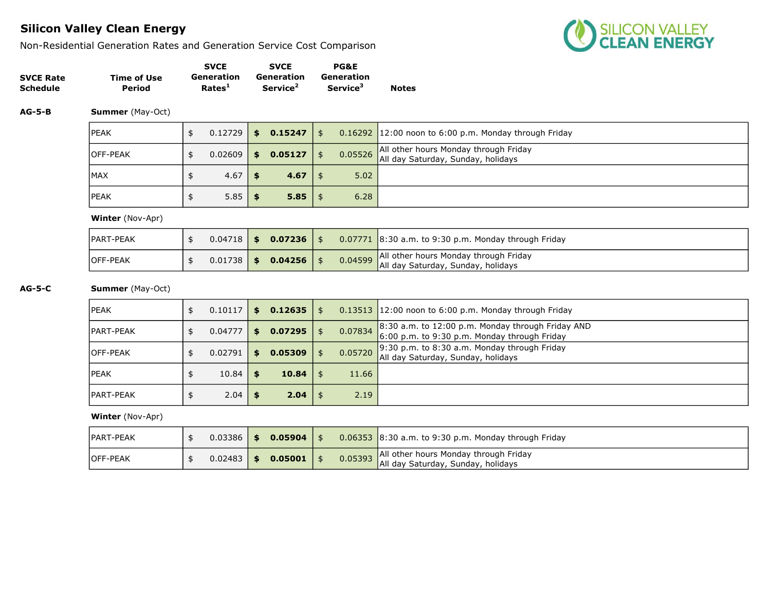Non-Residential Generation Rates and Generation Service Cost Comparison



|                  |             | <b>SVCE</b>        | <b>SVCE</b>          | <b>PG&amp;E</b>      |              |
|------------------|-------------|--------------------|----------------------|----------------------|--------------|
| <b>SVCE Rate</b> | Time of Use | Generation         | Generation           | Generation           |              |
| <b>Schedule</b>  | Period      | Rates <sup>1</sup> | Service <sup>2</sup> | Service <sup>3</sup> | <b>Notes</b> |

AG-5-B Summer (May-Oct)

| <b>IPEAK</b>     | 0.12729 | \$0.15247     | $\frac{1}{3}$ |      | $0.16292$ 12:00 noon to 6:00 p.m. Monday through Friday                             |
|------------------|---------|---------------|---------------|------|-------------------------------------------------------------------------------------|
| <b>IOFF-PEAK</b> | 0.02609 | \$<br>0.05127 |               |      | All other hours Monday through Friday<br>0.05526 All day Saturday, Sunday, holidays |
| <b>IMAX</b>      | 4.67    | 4.67          |               | 5.02 |                                                                                     |
| <b>IPEAK</b>     | 5.85    | 5.85          |               | 6.28 |                                                                                     |

Winter (Nov-Apr)

| <b>PART-PEAK</b> |  | $0.04718$ \$ 0.07236 |  | 0.07771 8:30 a.m. to 9:30 p.m. Monday through Friday                                |
|------------------|--|----------------------|--|-------------------------------------------------------------------------------------|
| <b>OFF-PEAK</b>  |  | $0.01738$ \$ 0.04256 |  | 0.04599 All other hours Monday through Friday<br>All day Saturday, Sunday, holidays |

AG-5-C Summer (May-Oct)

| <b>IPEAK</b>      | 0.10117       | S.  | $0.12635$   \$ |      |         | $0.13513$ 12:00 noon to 6:00 p.m. Monday through Friday                                                         |
|-------------------|---------------|-----|----------------|------|---------|-----------------------------------------------------------------------------------------------------------------|
| <b>IPART-PEAK</b> | \$<br>0.04777 | S.  | 0.07295        | l \$ | 0.07834 | $\frac{1}{2}$ 8:30 a.m. to 12:00 p.m. Monday through Friday AND<br>6:00 p.m. to 9:30 p.m. Monday through Friday |
| <b>IOFF-PEAK</b>  | 0.02791       | \$. | 0.05309        |      | 0.05720 | $\Box$ 9:30 p.m. to 8:30 a.m. Monday through Friday<br>All day Saturday, Sunday, holidays                       |
| <b>IPEAK</b>      | 10.84         |     | 10.84          | l \$ | 11.66   |                                                                                                                 |
| <b>IPART-PEAK</b> | 2.04          |     | 2.04           | l \$ | 2.19    |                                                                                                                 |

| <b>IPART-PEAK</b> | 0.03386      | - \$ | $0.05904$   \$ |  | $\vert$ 0.06353 $\vert$ 8:30 a.m. to 9:30 p.m. Monday through Friday                |
|-------------------|--------------|------|----------------|--|-------------------------------------------------------------------------------------|
| <b>IOFF-PEAK</b>  | $0.02483$ \$ |      | $0.05001$   \$ |  | All other hours Monday through Friday<br>0.05393 All day Saturday, Sunday, holidays |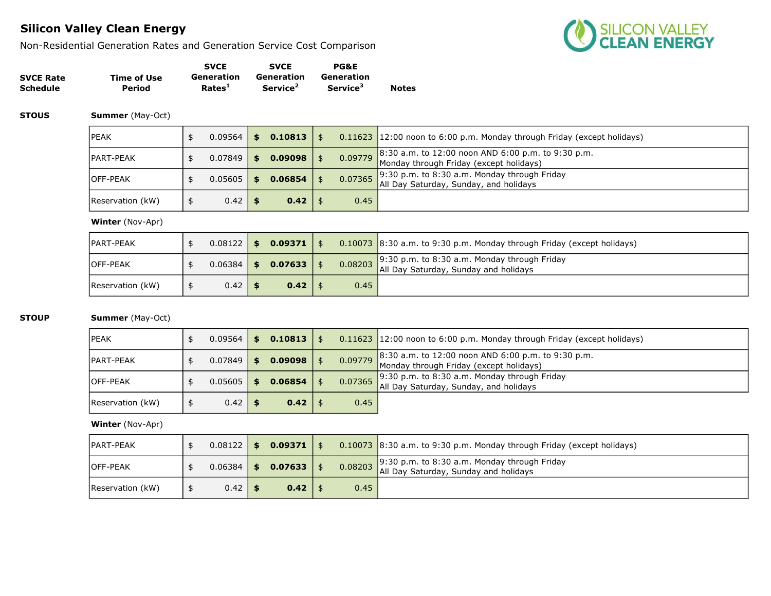Non-Residential Generation Rates and Generation Service Cost Comparison



|                  |             | <b>SVCE</b>        | <b>SVCE</b>          | <b>PG&amp;E</b>             |              |
|------------------|-------------|--------------------|----------------------|-----------------------------|--------------|
| <b>SVCE Rate</b> | Time of Use | Generation         | Generation           | Generation                  |              |
| <b>Schedule</b>  | Period      | Rates <sup>1</sup> | Service <sup>2</sup> | <b>Service</b> <sup>3</sup> | <b>Notes</b> |

**STOUS Summer** (May-Oct)

| lpeak            | $0.09564$ | SS. | 0.10813 |         | 0.11623 12:00 noon to 6:00 p.m. Monday through Friday (except holidays)                               |
|------------------|-----------|-----|---------|---------|-------------------------------------------------------------------------------------------------------|
| IPART-PEAK       | 0.07849   | S.  | 0.09098 |         | 8:30 a.m. to 12:00 noon AND 6:00 p.m. to 9:30 p.m.<br>0.09779 Monday through Friday (except holidays) |
| lOFF-PEAK        | 0.05605   | S.  | 0.06854 | 0.07365 | $9:30$ p.m. to 8:30 a.m. Monday through Friday<br>All Day Saturday, Sunday, and holidays              |
| Reservation (kW) | 0.42      |     | 0.42    | 0.45    |                                                                                                       |

#### Winter (Nov-Apr)

| <b>IPART-PEAK</b> | $0.08122$ \$ |      | $0.09371$   \$ |      | $0.10073$ 8:30 a.m. to 9:30 p.m. Monday through Friday (except holidays)                      |
|-------------------|--------------|------|----------------|------|-----------------------------------------------------------------------------------------------|
| <b>IOFF-PEAK</b>  | 0.06384      | - \$ | $0.07633$ \$   |      | 0.08203 9:30 p.m. to 8:30 a.m. Monday through Friday<br>All Day Saturday, Sunday and holidays |
| Reservation (kW)  | $0.42$   \$  |      | $0.42 \mid$ \$ | 0.45 |                                                                                               |

### **STOUP Summer** (May-Oct)

| <b>PEAK</b>      | 0.09564   | $0.10813$   \$ |         | $0.11623$ 12:00 noon to 6:00 p.m. Monday through Friday (except holidays)                               |
|------------------|-----------|----------------|---------|---------------------------------------------------------------------------------------------------------|
| PART-PEAK        | 0.07849   | 0.09098        |         | $8:30$ a.m. to 12:00 noon AND 6:00 p.m. to 9:30 p.m.<br>0.09779 Monday through Friday (except holidays) |
| OFF-PEAK         | 0.05605   | 0.06854        | 0.07365 | $9:30$ p.m. to 8:30 a.m. Monday through Friday<br>All Day Saturday, Sunday, and holidays                |
| Reservation (kW) | $0.42$ \$ | $0.42 \mid$ \$ | 0.45    |                                                                                                         |

| <b>IPART-PEAK</b> | 0.08122 | \$<br>$0.09371$   \$ |         | 0.10073 8:30 a.m. to 9:30 p.m. Monday through Friday (except holidays)                        |
|-------------------|---------|----------------------|---------|-----------------------------------------------------------------------------------------------|
| <b>IOFF-PEAK</b>  | 0.06384 | \$<br>$0.07633$   \$ | 0.08203 | $\vert$ 9:30 p.m. to 8:30 a.m. Monday through Friday<br>All Day Saturday, Sunday and holidays |
| Reservation (kW)  | 0.42    | 0.42                 | 0.45    |                                                                                               |